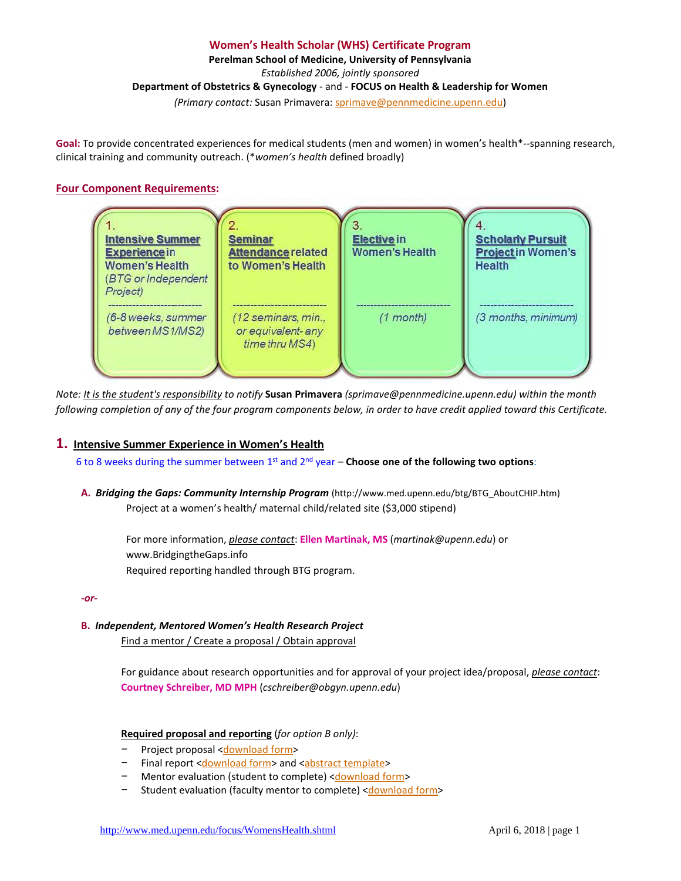## **Women's Health Scholar (WHS) Certificate Program**

**Perelman School of Medicine, University of Pennsylvania**

*Established 2006, jointly sponsored* 

**Department of Obstetrics & Gynecology** - and - **FOCUS on Health & Leadership for Women** 

*(Primary contact:* Susan Primavera[: sprimave@pennmedicine.upenn.edu\)](mailto:sprimave@pennmedicine.upenn.edu)

**Goal:** To provide concentrated experiences for medical students (men and women) in women's health\*--spanning research, clinical training and community outreach. (\**women's health* defined broadly)

# **Four Component Requirements:**



*Note: It is the student's responsibility to notify* **Susan Primavera** *(sprimave@pennmedicine.upenn.edu) within the month following completion of any of the four program components below, in order to have credit applied toward this Certificate.*

# **1. Intensive Summer Experience in Women's Health**

6 to 8 weeks during the summer between 1st and 2nd year – **Choose one of the following two options**:

**A.** *Bridging the Gaps: Community Internship Program* (http://www.med.upenn.edu/btg/BTG\_AboutCHIP.htm) Project at a women's health/ maternal child/related site (\$3,000 stipend)

For more information, *please contact*: **Ellen Martinak, MS** (*martinak@upenn.edu*) or www.BridgingtheGaps.info Required reporting handled through BTG program.

*-or-*

**B.** *Independent, Mentored Women's Health Research Project*

Find a mentor / Create a proposal / Obtain approval

For guidance about research opportunities and for approval of your project idea/proposal, *please contact*: **Courtney Schreiber, MD MPH** (*cschreiber@obgyn.upenn.edu*)

# **Required proposal and reporting** (*for option B only)*:

- − Project proposal [<download form>](http://www.med.upenn.edu/focus/user_documents/ProjectProposalFormCompntI-B031213.doc)
- − Final report [<download form>](http://www.med.upenn.edu/focus/user_documents/FinalReportForm-Guidelines-CompntI-B-031213.doc) and [<abstract template>](http://webdev.med.upenn.edu/contribute/focus/user_documents/WritingaResearchAbstract_CompI-B.doc)
- Mentor evaluation (student to complete) [<download form>](http://www.med.upenn.edu/focus/user_documents/EvalofMentor-completedbyStudent-CompntI-B.doc)
- − Student evaluation (faculty mentor to complete) [<download form>](http://www.med.upenn.edu/focus/user_documents/EvalofStudent-completedbyMentor-CompntI-B.doc)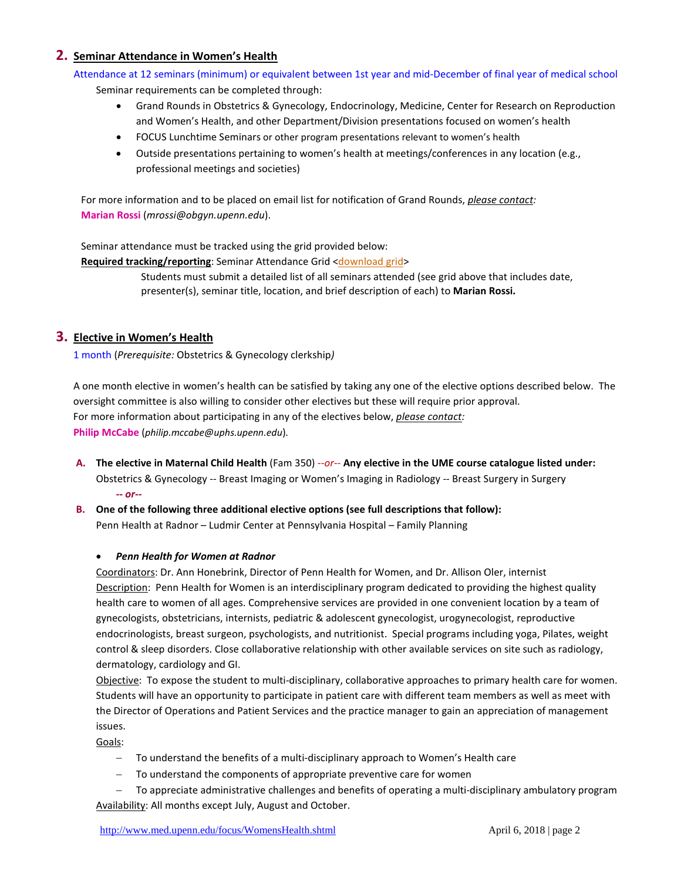# **2. Seminar Attendance in Women's Health**

Attendance at 12 seminars (minimum) or equivalent between 1st year and mid-December of final year of medical school

Seminar requirements can be completed through:

- Grand Rounds in Obstetrics & Gynecology, Endocrinology, Medicine, Center for Research on Reproduction and Women's Health, and other Department/Division presentations focused on women's health
- [FOCUS Lunchtime Seminars](http://www.med.upenn.edu/focus/LunchtimeSeminars.html) or other program presentations relevant to women's health
- Outside presentations pertaining to women's health at meetings/conferences in any location (e.g., professional meetings and societies)

For more information and to be placed on email list for notification of Grand Rounds, *please contact:* **Marian Rossi** (*[mrossi@obgyn.upenn.edu](mailto:mrossi@obgyn.upenn.edu)*).

Seminar attendance must be tracked using the grid provided below:

**Required tracking/reporting:** Seminar Attendance Grid [<download grid>](http://www.med.upenn.edu/focus/user_documents/SeminarAttendenceGridComponentII.xls)

Students must submit a detailed list of all seminars attended (see grid above that includes date, presenter(s), seminar title, location, and brief description of each) to **Marian Rossi.**

# **3. Elective in Women's Health**

1 month (*Prerequisite:* Obstetrics & Gynecology clerkship*)*

A one month elective in women's health can be satisfied by taking any one of the elective options described below. The oversight committee is also willing to consider other electives but these will require prior approval. For more information about participating in any of the electives below, *please contact:* **Philip McCabe** (*philip.mccabe@uphs.upenn.edu*)*.* 

- **A. The elective in Maternal Child Health** (Fam 350) *--or--* **Any elective in the UME course catalogue listed under:** Obstetrics & Gynecology -- Breast Imaging or Women's Imaging in Radiology -- Breast Surgery in Surgery *-- or--*
- **B. One of the following three additional elective options (see full descriptions that follow):**

Penn Health at Radnor – Ludmir Center at Pennsylvania Hospital – Family Planning

## • *Penn Health for Women at Radnor*

Coordinators: Dr. Ann Honebrink, Director of Penn Health for Women, and Dr. Allison Oler, internist Description: Penn Health for Women is an interdisciplinary program dedicated to providing the highest quality health care to women of all ages. Comprehensive services are provided in one convenient location by a team of gynecologists, obstetricians, internists, pediatric & adolescent gynecologist, urogynecologist, reproductive endocrinologists, breast surgeon, psychologists, and nutritionist. Special programs including yoga, Pilates, weight control & sleep disorders. Close collaborative relationship with other available services on site such as radiology, dermatology, cardiology and GI.

Objective: To expose the student to multi-disciplinary, collaborative approaches to primary health care for women. Students will have an opportunity to participate in patient care with different team members as well as meet with the Director of Operations and Patient Services and the practice manager to gain an appreciation of management issues.

Goals:

- − To understand the benefits of a multi-disciplinary approach to Women's Health care
- − To understand the components of appropriate preventive care for women
- − To appreciate administrative challenges and benefits of operating a multi-disciplinary ambulatory program Availability: All months except July, August and October.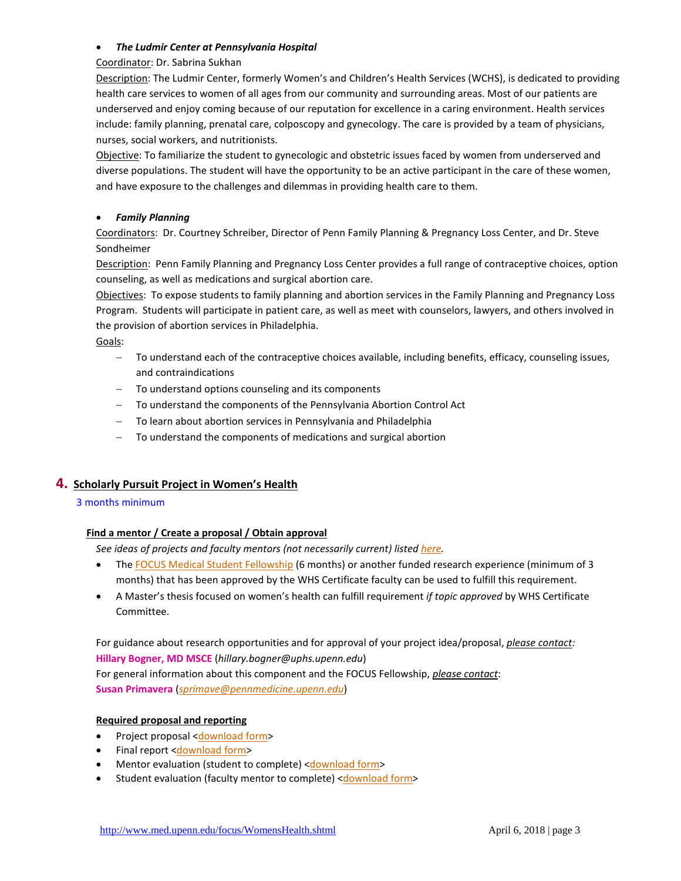## • *The Ludmir Center at Pennsylvania Hospital*

### Coordinator: Dr. Sabrina Sukhan

Description: The Ludmir Center, formerly Women's and Children's Health Services (WCHS), is dedicated to providing health care services to women of all ages from our community and surrounding areas. Most of our patients are underserved and enjoy coming because of our reputation for excellence in a caring environment. Health services include: family planning, prenatal care, colposcopy and gynecology. The care is provided by a team of physicians, nurses, social workers, and nutritionists.

Objective: To familiarize the student to gynecologic and obstetric issues faced by women from underserved and diverse populations. The student will have the opportunity to be an active participant in the care of these women, and have exposure to the challenges and dilemmas in providing health care to them.

## • *Family Planning*

Coordinators: Dr. Courtney Schreiber, Director of Penn Family Planning & Pregnancy Loss Center, and Dr. Steve Sondheimer

Description: Penn Family Planning and Pregnancy Loss Center provides a full range of contraceptive choices, option counseling, as well as medications and surgical abortion care.

Objectives: To expose students to family planning and abortion services in the Family Planning and Pregnancy Loss Program. Students will participate in patient care, as well as meet with counselors, lawyers, and others involved in the provision of abortion services in Philadelphia.

Goals:

- − To understand each of the contraceptive choices available, including benefits, efficacy, counseling issues, and contraindications
- − To understand options counseling and its components
- To understand the components of the Pennsylvania Abortion Control Act
- − To learn about abortion services in Pennsylvania and Philadelphia
- − To understand the components of medications and surgical abortion

# **4. Scholarly Pursuit Project in Women's Health**

## 3 months minimum

## **Find a mentor / Create a proposal / Obtain approval**

*See ideas of projects and faculty mentors (not necessarily current) listed [here.](http://www.med.upenn.edu/focus/FellowshipRecipients.shtml)*

- The [FOCUS Medical Student Fellowship](http://www.med.upenn.edu/focus/StudentFellowships.shtml) (6 months) or another funded research experience (minimum of 3 months) that has been approved by the WHS Certificate faculty can be used to fulfill this requirement.
- A Master's thesis focused on women's health can fulfill requirement *if topic approved* by WHS Certificate Committee.

For guidance about research opportunities and for approval of your project idea/proposal, *please contact:* **Hillary Bogner, MD MSCE** (*hillary.bogner@uphs.upenn.edu*)

For general information about this component and the FOCUS Fellowship, *please contact*: **Susan Primavera** (*[sprimave@pennmedicine.upenn.edu](mailto:sprimave@pennmedicine.upenn.edu)*)

## **Required proposal and reporting**

- Project proposal [<download form>](http://www.med.upenn.edu/focus/user_documents/ProjectProposalFormCompntIV.doc)
- Final report [<download form>](http://www.med.upenn.edu/focus/user_documents/FinalReportGuidelines-CompntIV.doc)
- Mentor evaluation (student to complete) [<download form>](http://www.med.upenn.edu/focus/user_documents/EvalofMentor-completedbyStudent-CompntIV.doc)
- Student evaluation (faculty mentor to complete) [<download form>](http://www.med.upenn.edu/focus/user_documents/EvalofStudent-completedbyMentor-CompntIV.doc)